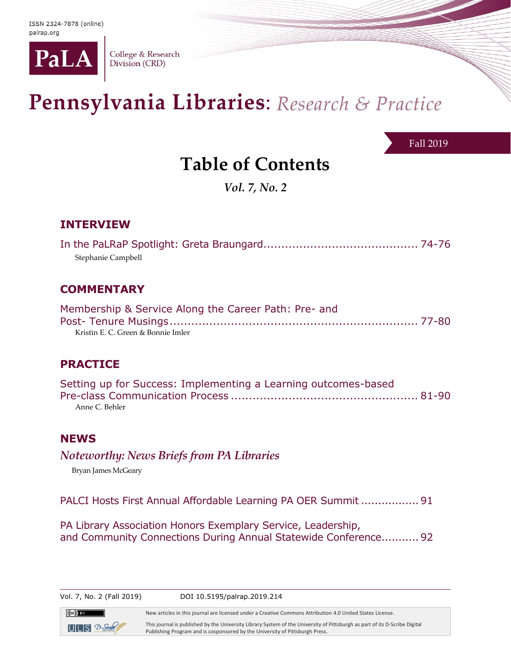

College & Research Division (CRD)

# Pennsylvania Libraries: Research & Practice

Fall 2019

# **Table of Contents**

*Vol. 7, No. 2*

# **INTERVIEW**

| Stephanie Campbell |  |
|--------------------|--|

## **COMMENTARY**

| Membership & Service Along the Career Path: Pre- and |  |
|------------------------------------------------------|--|
|                                                      |  |
| Kristin E. C. Green & Bonnie Imler                   |  |

### **PRACTICE**

| Setting up for Success: Implementing a Learning outcomes-based |  |
|----------------------------------------------------------------|--|
|                                                                |  |
| Anne C. Behler                                                 |  |

#### **NEWS**

*Noteworthy: News Briefs from PA Libraries*

Bryan James McGeary

 $ULS$   $2$ -Sorbe

PALCI Hosts First Annual Affordable Learning PA OER Summit .................91

PA Library Association Honors Exemplary Service, Leadership, and Community Connections During Annual Statewide Conference...........92

| Vol. 7, No. 2 (Fall 2019) | DOI 10.5195/palrap.2019.214                                                                               |
|---------------------------|-----------------------------------------------------------------------------------------------------------|
| $(cc)$ BY                 | New articles in this journal are licensed under a Creative Commons Attribution 4.0 United States License. |
|                           | .                                                                                                         |

This journal is published by the University Library System of the University of Pittsburgh as part of its D-Scribe Digital Publishing Program and is cosponsored by the University of Pittsburgh Press.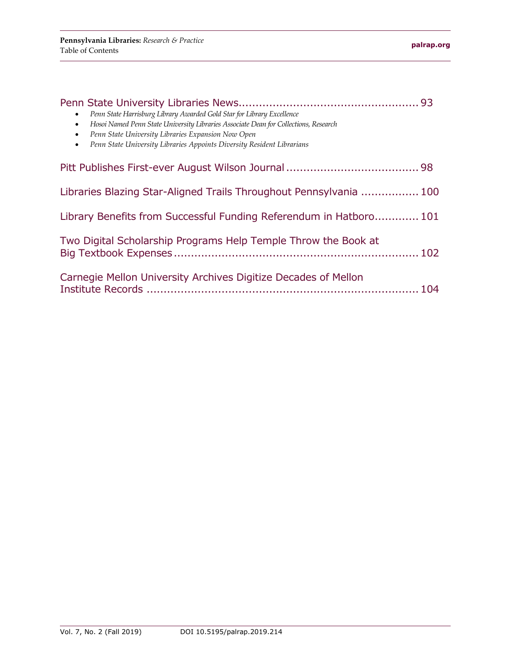| Penn State Harrisburg Library Awarded Gold Star for Library Excellence<br>$\bullet$<br>Hosoi Named Penn State University Libraries Associate Dean for Collections, Research<br>$\bullet$<br>Penn State University Libraries Expansion Now Open<br>$\bullet$<br>Penn State University Libraries Appoints Diversity Resident Librarians<br>$\bullet$ |  |
|----------------------------------------------------------------------------------------------------------------------------------------------------------------------------------------------------------------------------------------------------------------------------------------------------------------------------------------------------|--|
|                                                                                                                                                                                                                                                                                                                                                    |  |
| Libraries Blazing Star-Aligned Trails Throughout Pennsylvania  100                                                                                                                                                                                                                                                                                 |  |
| Library Benefits from Successful Funding Referendum in Hatboro 101                                                                                                                                                                                                                                                                                 |  |
| Two Digital Scholarship Programs Help Temple Throw the Book at                                                                                                                                                                                                                                                                                     |  |
| Carnegie Mellon University Archives Digitize Decades of Mellon                                                                                                                                                                                                                                                                                     |  |